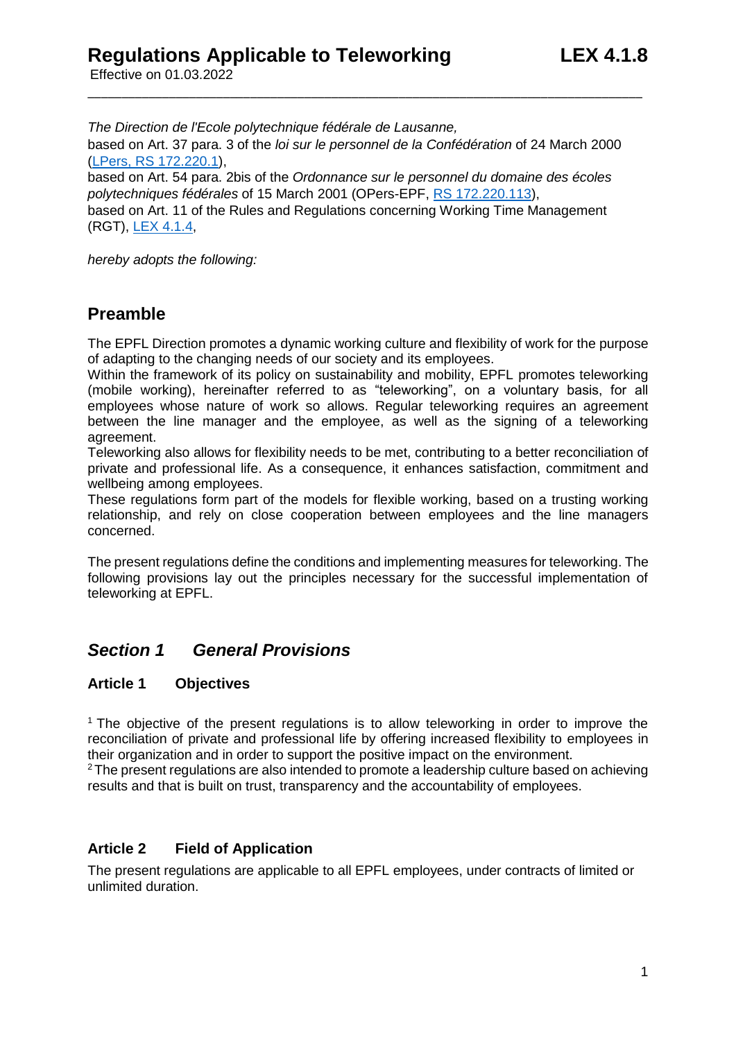Effective on 01.03.2022

*The Direction de l'Ecole polytechnique fédérale de Lausanne,* based on Art. 37 para. 3 of the *loi sur le personnel de la Confédération* of 24 March 2000 [\(LPers, RS 172.220.1\)](https://www.admin.ch/opc/fr/classified-compilation/20000738/index.html), based on Art. 54 para. 2bis of the *Ordonnance sur le personnel du domaine des écoles polytechniques fédérales* of 15 March 2001 (OPers-EPF, [RS 172.220.113\)](https://www.admin.ch/opc/fr/classified-compilation/20010654/index.html),

\_\_\_\_\_\_\_\_\_\_\_\_\_\_\_\_\_\_\_\_\_\_\_\_\_\_\_\_\_\_\_\_\_\_\_\_\_\_\_\_\_\_\_\_\_\_\_\_\_\_\_\_\_\_\_\_\_\_\_\_\_\_\_\_\_\_\_\_\_\_\_\_\_\_\_\_\_\_\_\_\_\_

based on Art. 11 of the Rules and Regulations concerning Working Time Management (RGT), [LEX 4.1.4,](https://www.epfl.ch/about/overview/wp-content/uploads/2019/09/4.1.4_r_gestion_temps_travail_an.pdf)

*hereby adopts the following:*

## **Preamble**

The EPFL Direction promotes a dynamic working culture and flexibility of work for the purpose of adapting to the changing needs of our society and its employees.

Within the framework of its policy on sustainability and mobility, EPFL promotes teleworking (mobile working), hereinafter referred to as "teleworking", on a voluntary basis, for all employees whose nature of work so allows. Regular teleworking requires an agreement between the line manager and the employee, as well as the signing of a teleworking agreement.

Teleworking also allows for flexibility needs to be met, contributing to a better reconciliation of private and professional life. As a consequence, it enhances satisfaction, commitment and wellbeing among employees.

These regulations form part of the models for flexible working, based on a trusting working relationship, and rely on close cooperation between employees and the line managers concerned.

The present regulations define the conditions and implementing measures for teleworking. The following provisions lay out the principles necessary for the successful implementation of teleworking at EPFL.

## *Section 1 General Provisions*

### **Article 1 Objectives**

<sup>1</sup> The objective of the present regulations is to allow teleworking in order to improve the reconciliation of private and professional life by offering increased flexibility to employees in their organization and in order to support the positive impact on the environment.

<sup>2</sup>The present regulations are also intended to promote a leadership culture based on achieving results and that is built on trust, transparency and the accountability of employees.

### **Article 2 Field of Application**

The present regulations are applicable to all EPFL employees, under contracts of limited or unlimited duration.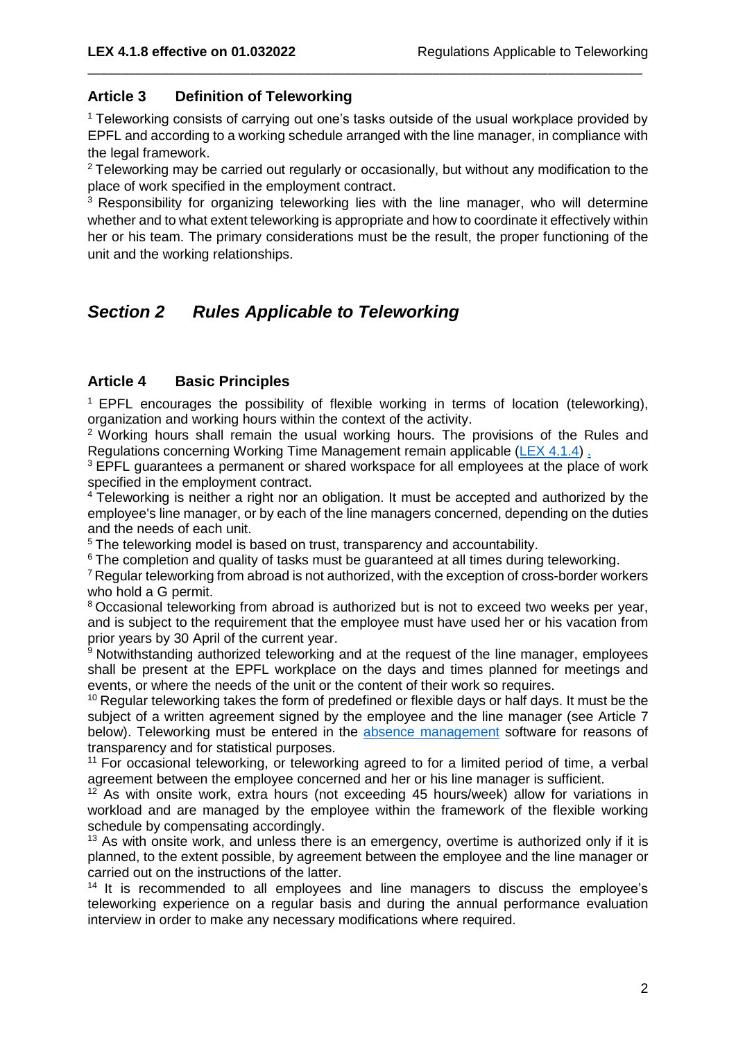### **Article 3 Definition of Teleworking**

<sup>1</sup> Teleworking consists of carrying out one's tasks outside of the usual workplace provided by EPFL and according to a working schedule arranged with the line manager, in compliance with the legal framework.

\_\_\_\_\_\_\_\_\_\_\_\_\_\_\_\_\_\_\_\_\_\_\_\_\_\_\_\_\_\_\_\_\_\_\_\_\_\_\_\_\_\_\_\_\_\_\_\_\_\_\_\_\_\_\_\_\_\_\_\_\_\_\_\_\_\_\_\_\_\_\_\_\_\_\_\_\_\_\_\_\_\_

<sup>2</sup> Teleworking may be carried out regularly or occasionally, but without any modification to the place of work specified in the employment contract.

<sup>3</sup> Responsibility for organizing teleworking lies with the line manager, who will determine whether and to what extent teleworking is appropriate and how to coordinate it effectively within her or his team. The primary considerations must be the result, the proper functioning of the unit and the working relationships.

# *Section 2 Rules Applicable to Teleworking*

## **Article 4 Basic Principles**

 $1$  EPFL encourages the possibility of flexible working in terms of location (teleworking), organization and working hours within the context of the activity.

<sup>2</sup> Working hours shall remain the usual working hours. The provisions of the Rules and Regulations concerning Working Time Management remain applicable [\(LEX 4.1.4\)](https://www.epfl.ch/about/overview/wp-content/uploads/2019/09/4.1.4_r_gestion_temps_travail_an.pdf) .

<sup>3</sup> EPFL guarantees a permanent or shared workspace for all employees at the place of work specified in the employment contract.

<sup>4</sup> Teleworking is neither a right nor an obligation. It must be accepted and authorized by the employee's line manager, or by each of the line managers concerned, depending on the duties and the needs of each unit.

<sup>5</sup> The teleworking model is based on trust, transparency and accountability.

<sup>6</sup> The completion and quality of tasks must be guaranteed at all times during teleworking.

 $7$  Regular teleworking from abroad is not authorized, with the exception of cross-border workers who hold a G permit.

<sup>8</sup> Occasional teleworking from abroad is authorized but is not to exceed two weeks per year, and is subject to the requirement that the employee must have used her or his vacation from prior years by 30 April of the current year.

<sup>9</sup> Notwithstanding authorized teleworking and at the request of the line manager, employees shall be present at the EPFL workplace on the days and times planned for meetings and events, or where the needs of the unit or the content of their work so requires.

<sup>10</sup> Regular teleworking takes the form of predefined or flexible days or half days. It must be the subject of a written agreement signed by the employee and the line manager (see Article 7 below). Teleworking must be entered in the [absence management](https://www.epfl.ch/campus/services/ressources/en/online-help-absences-management/) software for reasons of transparency and for statistical purposes.

 $11$  For occasional teleworking, or teleworking agreed to for a limited period of time, a verbal agreement between the employee concerned and her or his line manager is sufficient.

 $12$  As with onsite work, extra hours (not exceeding 45 hours/week) allow for variations in workload and are managed by the employee within the framework of the flexible working schedule by compensating accordingly.

 $13$  As with onsite work, and unless there is an emergency, overtime is authorized only if it is planned, to the extent possible, by agreement between the employee and the line manager or carried out on the instructions of the latter.

<sup>14</sup> It is recommended to all employees and line managers to discuss the employee's teleworking experience on a regular basis and during the annual performance evaluation interview in order to make any necessary modifications where required.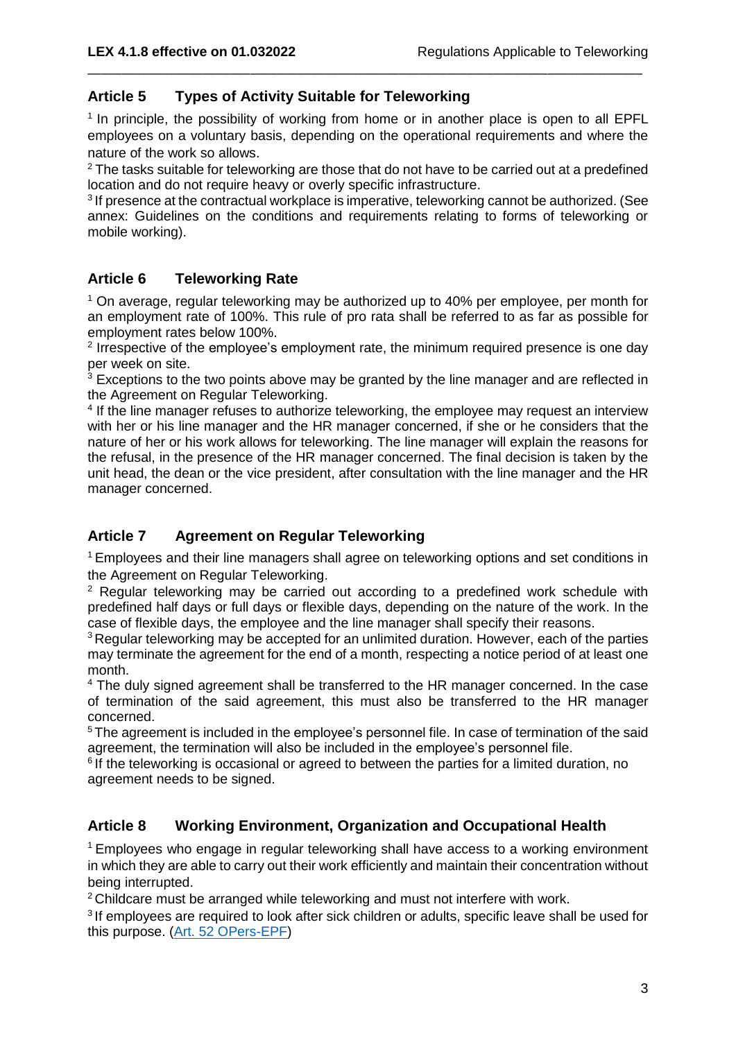## **Article 5 Types of Activity Suitable for Teleworking**

<sup>1</sup> In principle, the possibility of working from home or in another place is open to all EPFL employees on a voluntary basis, depending on the operational requirements and where the nature of the work so allows.

\_\_\_\_\_\_\_\_\_\_\_\_\_\_\_\_\_\_\_\_\_\_\_\_\_\_\_\_\_\_\_\_\_\_\_\_\_\_\_\_\_\_\_\_\_\_\_\_\_\_\_\_\_\_\_\_\_\_\_\_\_\_\_\_\_\_\_\_\_\_\_\_\_\_\_\_\_\_\_\_\_\_

<sup>2</sup> The tasks suitable for teleworking are those that do not have to be carried out at a predefined location and do not require heavy or overly specific infrastructure.

 $3$  If presence at the contractual workplace is imperative, teleworking cannot be authorized. (See annex: Guidelines on the conditions and requirements relating to forms of teleworking or mobile working).

## **Article 6 Teleworking Rate**

 $1$  On average, regular teleworking may be authorized up to 40% per employee, per month for an employment rate of 100%. This rule of pro rata shall be referred to as far as possible for employment rates below 100%.

<sup>2</sup> Irrespective of the employee's employment rate, the minimum required presence is one day per week on site.

 $3$  Exceptions to the two points above may be granted by the line manager and are reflected in the Agreement on Regular Teleworking.

<sup>4</sup> If the line manager refuses to authorize teleworking, the employee may request an interview with her or his line manager and the HR manager concerned, if she or he considers that the nature of her or his work allows for teleworking. The line manager will explain the reasons for the refusal, in the presence of the HR manager concerned. The final decision is taken by the unit head, the dean or the vice president, after consultation with the line manager and the HR manager concerned.

## **Article 7 Agreement on Regular Teleworking**

<sup>1</sup> Employees and their line managers shall agree on teleworking options and set conditions in the Agreement on Regular Teleworking.

<sup>2</sup> Regular teleworking may be carried out according to a predefined work schedule with predefined half days or full days or flexible days, depending on the nature of the work. In the case of flexible days, the employee and the line manager shall specify their reasons.

<sup>3</sup> Regular teleworking may be accepted for an unlimited duration. However, each of the parties may terminate the agreement for the end of a month, respecting a notice period of at least one month.

<sup>4</sup> The duly signed agreement shall be transferred to the HR manager concerned. In the case of termination of the said agreement, this must also be transferred to the HR manager concerned.

<sup>5</sup> The agreement is included in the employee's personnel file. In case of termination of the said agreement, the termination will also be included in the employee's personnel file.

<sup>6</sup> If the teleworking is occasional or agreed to between the parties for a limited duration, no agreement needs to be signed.

### **Article 8 Working Environment, Organization and Occupational Health**

<sup>1</sup>Employees who engage in regular teleworking shall have access to a working environment in which they are able to carry out their work efficiently and maintain their concentration without being interrupted.

<sup>2</sup> Childcare must be arranged while teleworking and must not interfere with work.

<sup>3</sup> If employees are required to look after sick children or adults, specific leave shall be used for this purpose. (Art. [52 OPers-EPF\)](https://www.fedlex.admin.ch/eli/cc/2001/279/fr#art_52)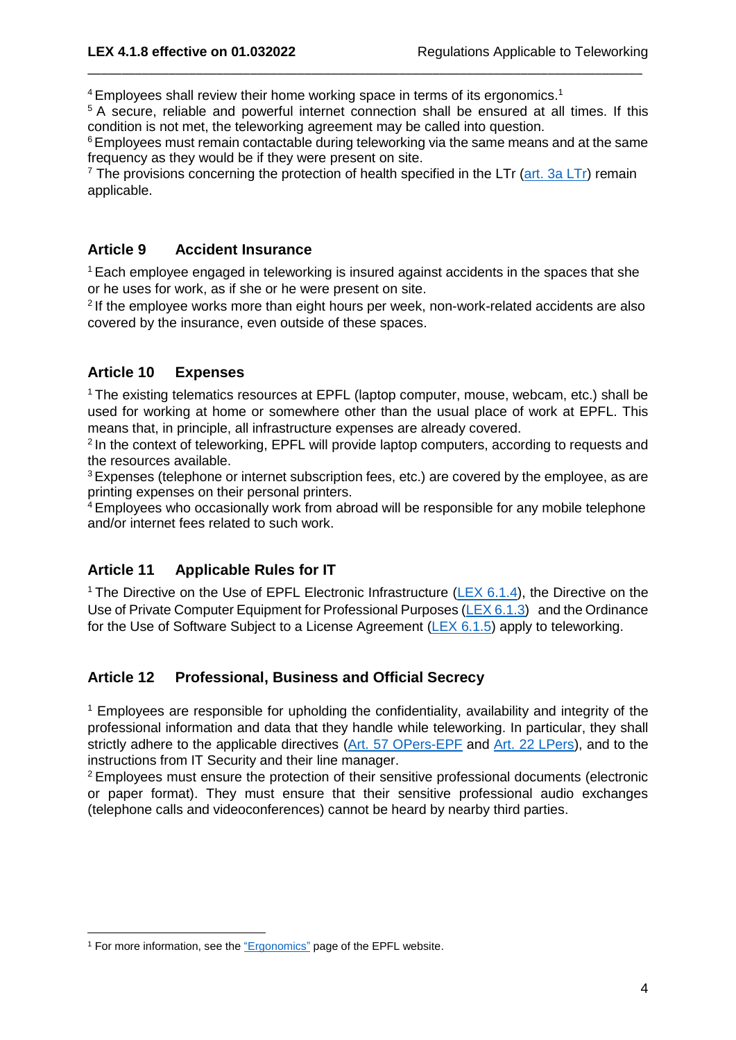$4$  Employees shall review their home working space in terms of its ergonomics.<sup>1</sup>

<sup>5</sup> A secure, reliable and powerful internet connection shall be ensured at all times. If this condition is not met, the teleworking agreement may be called into question.

\_\_\_\_\_\_\_\_\_\_\_\_\_\_\_\_\_\_\_\_\_\_\_\_\_\_\_\_\_\_\_\_\_\_\_\_\_\_\_\_\_\_\_\_\_\_\_\_\_\_\_\_\_\_\_\_\_\_\_\_\_\_\_\_\_\_\_\_\_\_\_\_\_\_\_\_\_\_\_\_\_\_

<sup>6</sup> Employees must remain contactable during teleworking via the same means and at the same frequency as they would be if they were present on site.

 $<sup>7</sup>$  The provisions concerning the protection of health specified in the LTr [\(art. 3a LTr\)](https://www.fedlex.admin.ch/eli/cc/1966/57_57_57/fr#art_3_a) remain</sup> applicable.

### **Article 9 Accident Insurance**

<sup>1</sup> Each employee engaged in teleworking is insured against accidents in the spaces that she or he uses for work, as if she or he were present on site.

<sup>2</sup> If the employee works more than eight hours per week, non-work-related accidents are also covered by the insurance, even outside of these spaces.

## **Article 10 Expenses**

<sup>1</sup>The existing telematics resources at EPFL (laptop computer, mouse, webcam, etc.) shall be used for working at home or somewhere other than the usual place of work at EPFL. This means that, in principle, all infrastructure expenses are already covered.

<sup>2</sup> In the context of teleworking, EPFL will provide laptop computers, according to requests and the resources available.

<sup>3</sup> Expenses (telephone or internet subscription fees, etc.) are covered by the employee, as are printing expenses on their personal printers.

<sup>4</sup> Employees who occasionally work from abroad will be responsible for any mobile telephone and/or internet fees related to such work.

## **Article 11 Applicable Rules for IT**

<sup>1</sup> The Directive on the Use of EPFL Electronic Infrastructure (LEX  $6.1.4$ ), the Directive on the Use of Private Computer Equipment for Professional Purposes [\(LEX 6.1.3\)](https://www.epfl.ch/about/overview/wp-content/uploads/2019/09/6.1.3_d_ordinateur_prive_an.pdf) and the Ordinance for the Use of Software Subject to a License Agreement [\(LEX 6.1.5\)](https://www.epfl.ch/about/overview/wp-content/uploads/2019/09/LEX-6.1.5_EN.pdf) apply to teleworking.

### **Article 12 Professional, Business and Official Secrecy**

 $<sup>1</sup>$  Employees are responsible for upholding the confidentiality, availability and integrity of the</sup> professional information and data that they handle while teleworking. In particular, they shall strictly adhere to the applicable directives [\(Art. 57 OPers-EPF](https://www.fedlex.admin.ch/eli/cc/2001/279/fr#art_57) and [Art. 22 LPers\)](https://www.fedlex.admin.ch/eli/cc/2001/123/fr#art_22), and to the instructions from IT Security and their line manager.

<sup>2</sup> Employees must ensure the protection of their sensitive professional documents (electronic or paper format). They must ensure that their sensitive professional audio exchanges (telephone calls and videoconferences) cannot be heard by nearby third parties.

 $\overline{\phantom{a}}$ <sup>1</sup> For more information, see the ["Ergonomics"](https://www.epfl.ch/campus/security-safety/en/health/health-at-work/ergonomy/) page of the EPFL website.